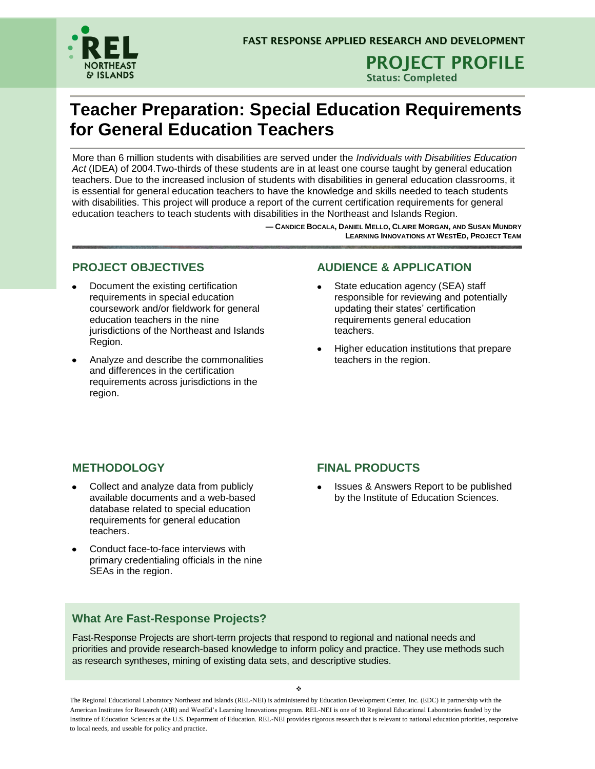

**PROJECT PROFILE Status: Completed**

## **Teacher Preparation: Special Education Requirements for General Education Teachers**

More than 6 million students with disabilities are served under the *Individuals with Disabilities Education Act* (IDEA) of 2004.Two-thirds of these students are in at least one course taught by general education teachers. Due to the increased inclusion of students with disabilities in general education classrooms, it is essential for general education teachers to have the knowledge and skills needed to teach students with disabilities. This project will produce a report of the current certification requirements for general education teachers to teach students with disabilities in the Northeast and Islands Region.

> **— CANDICE BOCALA, DANIEL MELLO, CLAIRE MORGAN, AND SUSAN MUNDRY LEARNING INNOVATIONS AT WESTED, PROJECT TEAM**

### **PROJECT OBJECTIVES**

- Document the existing certification requirements in special education coursework and/or fieldwork for general education teachers in the nine jurisdictions of the Northeast and Islands Region.
- Analyze and describe the commonalities and differences in the certification requirements across jurisdictions in the region.

### **AUDIENCE & APPLICATION**

- State education agency (SEA) staff responsible for reviewing and potentially updating their states' certification requirements general education teachers.
- Higher education institutions that prepare teachers in the region.

## **METHODOLOGY**

- Collect and analyze data from publicly available documents and a web-based database related to special education requirements for general education teachers.
- Conduct face-to-face interviews with primary credentialing officials in the nine SEAs in the region.

### **FINAL PRODUCTS**

Issues & Answers Report to be published by the Institute of Education Sciences.

### **What Are Fast-Response Projects?**

Fast-Response Projects are short-term projects that respond to regional and national needs and priorities and provide research-based knowledge to inform policy and practice. They use methods such as research syntheses, mining of existing data sets, and descriptive studies.

The Regional Educational Laboratory Northeast and Islands (REL-NEI) is administered by Education Development Center, Inc. (EDC) in partnership with the American Institutes for Research (AIR) and WestEd's Learning Innovations program. REL-NEI is one of 10 Regional Educational Laboratories funded by the Institute of Education Sciences at the U.S. Department of Education. REL-NEI provides rigorous research that is relevant to national education priorities, responsive to local needs, and useable for policy and practice.

 $\mathcal{L}$